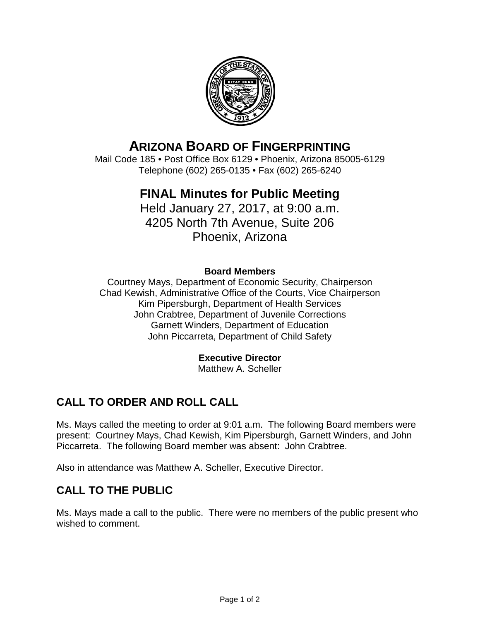

# **ARIZONA BOARD OF FINGERPRINTING**

Mail Code 185 • Post Office Box 6129 • Phoenix, Arizona 85005-6129 Telephone (602) 265-0135 • Fax (602) 265-6240

# **FINAL Minutes for Public Meeting**

Held January 27, 2017, at 9:00 a.m. 4205 North 7th Avenue, Suite 206 Phoenix, Arizona

#### **Board Members**

Courtney Mays, Department of Economic Security, Chairperson Chad Kewish, Administrative Office of the Courts, Vice Chairperson Kim Pipersburgh, Department of Health Services John Crabtree, Department of Juvenile Corrections Garnett Winders, Department of Education John Piccarreta, Department of Child Safety

#### **Executive Director**

Matthew A. Scheller

# **CALL TO ORDER AND ROLL CALL**

Ms. Mays called the meeting to order at 9:01 a.m. The following Board members were present: Courtney Mays, Chad Kewish, Kim Pipersburgh, Garnett Winders, and John Piccarreta. The following Board member was absent: John Crabtree.

Also in attendance was Matthew A. Scheller, Executive Director.

### **CALL TO THE PUBLIC**

Ms. Mays made a call to the public. There were no members of the public present who wished to comment.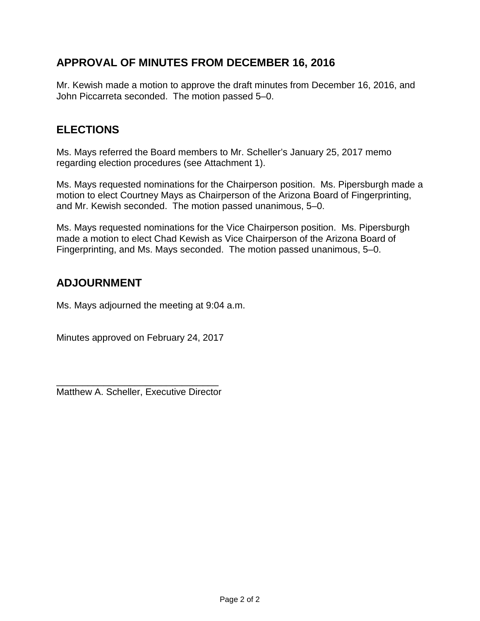### **APPROVAL OF MINUTES FROM DECEMBER 16, 2016**

Mr. Kewish made a motion to approve the draft minutes from December 16, 2016, and John Piccarreta seconded. The motion passed 5–0.

## **ELECTIONS**

Ms. Mays referred the Board members to Mr. Scheller's January 25, 2017 memo regarding election procedures (see Attachment 1).

Ms. Mays requested nominations for the Chairperson position. Ms. Pipersburgh made a motion to elect Courtney Mays as Chairperson of the Arizona Board of Fingerprinting, and Mr. Kewish seconded. The motion passed unanimous, 5–0.

Ms. Mays requested nominations for the Vice Chairperson position. Ms. Pipersburgh made a motion to elect Chad Kewish as Vice Chairperson of the Arizona Board of Fingerprinting, and Ms. Mays seconded. The motion passed unanimous, 5–0.

## **ADJOURNMENT**

Ms. Mays adjourned the meeting at 9:04 a.m.

Minutes approved on February 24, 2017

\_\_\_\_\_\_\_\_\_\_\_\_\_\_\_\_\_\_\_\_\_\_\_\_\_\_\_\_\_\_\_ Matthew A. Scheller, Executive Director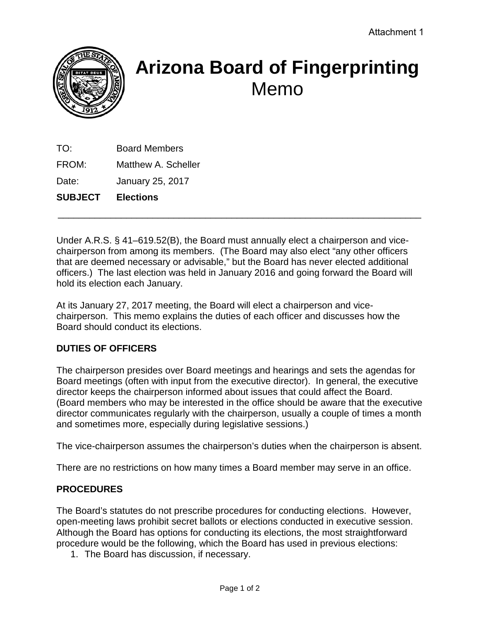

# **Arizona Board of Fingerprinting** Memo

TO: Board Members FROM: Matthew A. Scheller

Date: January 25, 2017

**SUBJECT Elections**

Under A.R.S. § 41–619.52(B), the Board must annually elect a chairperson and vicechairperson from among its members. (The Board may also elect "any other officers that are deemed necessary or advisable," but the Board has never elected additional officers.) The last election was held in January 2016 and going forward the Board will hold its election each January.

\_\_\_\_\_\_\_\_\_\_\_\_\_\_\_\_\_\_\_\_\_\_\_\_\_\_\_\_\_\_\_\_\_\_\_\_\_\_\_\_\_\_\_\_\_\_\_\_\_\_\_\_\_\_\_\_\_\_\_\_\_\_\_\_\_\_\_\_\_

At its January 27, 2017 meeting, the Board will elect a chairperson and vicechairperson. This memo explains the duties of each officer and discusses how the Board should conduct its elections.

#### **DUTIES OF OFFICERS**

The chairperson presides over Board meetings and hearings and sets the agendas for Board meetings (often with input from the executive director). In general, the executive director keeps the chairperson informed about issues that could affect the Board. (Board members who may be interested in the office should be aware that the executive director communicates regularly with the chairperson, usually a couple of times a month and sometimes more, especially during legislative sessions.)

The vice-chairperson assumes the chairperson's duties when the chairperson is absent.

There are no restrictions on how many times a Board member may serve in an office.

#### **PROCEDURES**

The Board's statutes do not prescribe procedures for conducting elections. However, open-meeting laws prohibit secret ballots or elections conducted in executive session. Although the Board has options for conducting its elections, the most straightforward procedure would be the following, which the Board has used in previous elections:

1. The Board has discussion, if necessary.